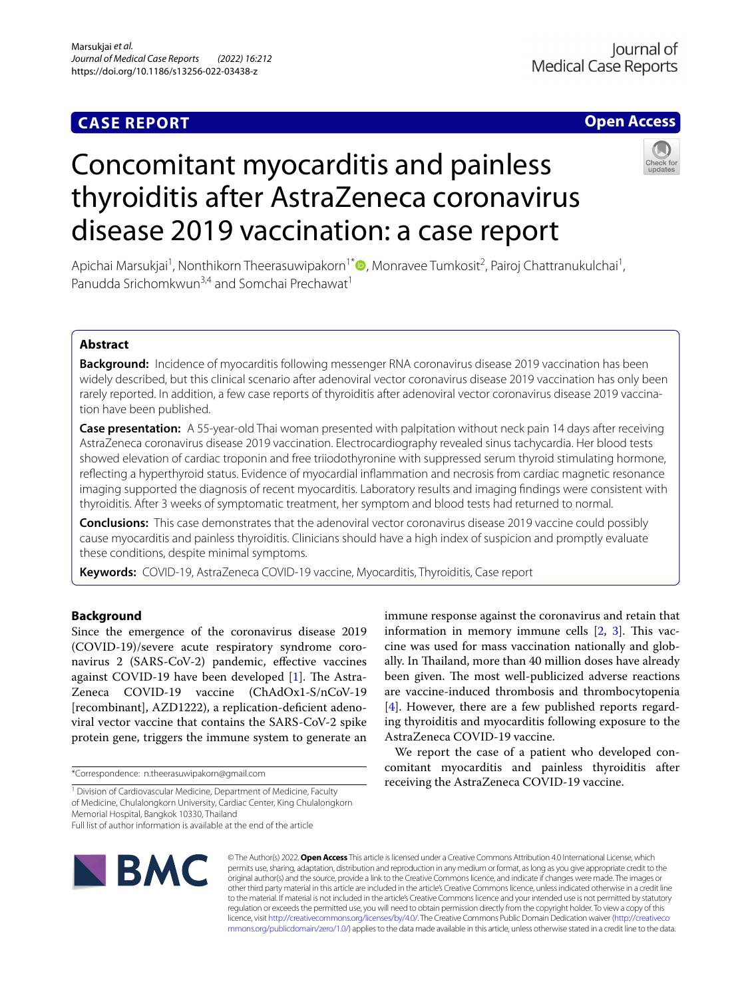## **CASE REPORT**

## **Open Access**

# Concomitant myocarditis and painless thyroiditis after AstraZeneca coronavirus disease 2019 vaccination: a case report

Apichai Marsukjai<sup>1</sup>, Nonthikorn Theerasuwipakorn<sup>1[\\*](http://orcid.org/0000-0002-3521-7715)</sup> (D, Monravee Tumkosit<sup>2</sup>, Pairoj Chattranukulchai<sup>1</sup>, Panudda Srichomkwun<sup>3,4</sup> and Somchai Prechawat<sup>1</sup>

## **Abstract**

**Background:** Incidence of myocarditis following messenger RNA coronavirus disease 2019 vaccination has been widely described, but this clinical scenario after adenoviral vector coronavirus disease 2019 vaccination has only been rarely reported. In addition, a few case reports of thyroiditis after adenoviral vector coronavirus disease 2019 vaccination have been published.

**Case presentation:** A 55-year-old Thai woman presented with palpitation without neck pain 14 days after receiving AstraZeneca coronavirus disease 2019 vaccination. Electrocardiography revealed sinus tachycardia. Her blood tests showed elevation of cardiac troponin and free triiodothyronine with suppressed serum thyroid stimulating hormone, refecting a hyperthyroid status. Evidence of myocardial infammation and necrosis from cardiac magnetic resonance imaging supported the diagnosis of recent myocarditis. Laboratory results and imaging fndings were consistent with thyroiditis. After 3 weeks of symptomatic treatment, her symptom and blood tests had returned to normal.

**Conclusions:** This case demonstrates that the adenoviral vector coronavirus disease 2019 vaccine could possibly cause myocarditis and painless thyroiditis. Clinicians should have a high index of suspicion and promptly evaluate these conditions, despite minimal symptoms.

**Keywords:** COVID-19, AstraZeneca COVID-19 vaccine, Myocarditis, Thyroiditis, Case report

## **Background**

Since the emergence of the coronavirus disease 2019 (COVID-19)/severe acute respiratory syndrome coronavirus 2 (SARS-CoV-2) pandemic, efective vaccines against COVID-19 have been developed  $[1]$  $[1]$ . The Astra-Zeneca COVID-19 vaccine (ChAdOx1-S/nCoV-19 [recombinant], AZD1222), a replication-defcient adenoviral vector vaccine that contains the SARS-CoV-2 spike protein gene, triggers the immune system to generate an

immune response against the coronavirus and retain that information in memory immune cells  $[2, 3]$  $[2, 3]$  $[2, 3]$  $[2, 3]$ . This vaccine was used for mass vaccination nationally and globally. In Thailand, more than 40 million doses have already been given. The most well-publicized adverse reactions are vaccine-induced thrombosis and thrombocytopenia [[4\]](#page-3-3). However, there are a few published reports regarding thyroiditis and myocarditis following exposure to the AstraZeneca COVID-19 vaccine.

We report the case of a patient who developed concomitant myocarditis and painless thyroiditis after receiving the AstraZeneca COVID-19 vaccine.



© The Author(s) 2022. **Open Access** This article is licensed under a Creative Commons Attribution 4.0 International License, which permits use, sharing, adaptation, distribution and reproduction in any medium or format, as long as you give appropriate credit to the original author(s) and the source, provide a link to the Creative Commons licence, and indicate if changes were made. The images or other third party material in this article are included in the article's Creative Commons licence, unless indicated otherwise in a credit line to the material. If material is not included in the article's Creative Commons licence and your intended use is not permitted by statutory regulation or exceeds the permitted use, you will need to obtain permission directly from the copyright holder. To view a copy of this licence, visit [http://creativecommons.org/licenses/by/4.0/.](http://creativecommons.org/licenses/by/4.0/) The Creative Commons Public Domain Dedication waiver ([http://creativeco](http://creativecommons.org/publicdomain/zero/1.0/) [mmons.org/publicdomain/zero/1.0/](http://creativecommons.org/publicdomain/zero/1.0/)) applies to the data made available in this article, unless otherwise stated in a credit line to the data.

<sup>\*</sup>Correspondence: n.theerasuwipakorn@gmail.com

<sup>&</sup>lt;sup>1</sup> Division of Cardiovascular Medicine, Department of Medicine, Faculty of Medicine, Chulalongkorn University, Cardiac Center, King Chulalongkorn Memorial Hospital, Bangkok 10330, Thailand

Full list of author information is available at the end of the article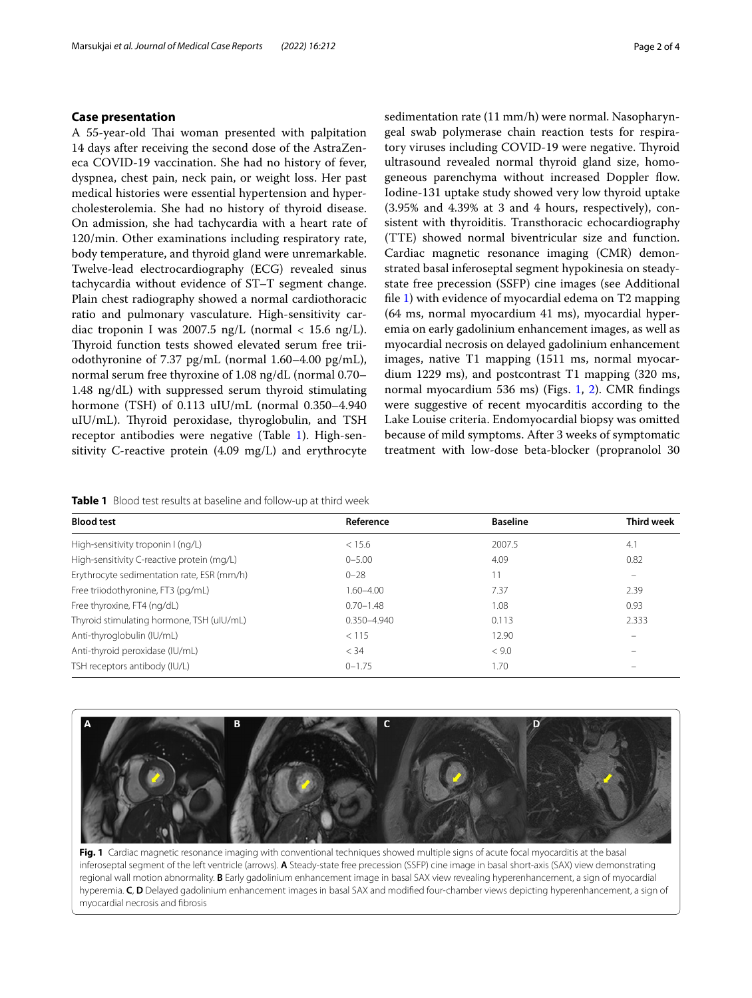#### **Case presentation**

A 55-year-old Thai woman presented with palpitation 14 days after receiving the second dose of the AstraZeneca COVID-19 vaccination. She had no history of fever, dyspnea, chest pain, neck pain, or weight loss. Her past medical histories were essential hypertension and hypercholesterolemia. She had no history of thyroid disease. On admission, she had tachycardia with a heart rate of 120/min. Other examinations including respiratory rate, body temperature, and thyroid gland were unremarkable. Twelve-lead electrocardiography (ECG) revealed sinus tachycardia without evidence of ST–T segment change. Plain chest radiography showed a normal cardiothoracic ratio and pulmonary vasculature. High-sensitivity cardiac troponin I was 2007.5 ng/L (normal < 15.6 ng/L). Thyroid function tests showed elevated serum free triiodothyronine of 7.37 pg/mL (normal 1.60–4.00 pg/mL), normal serum free thyroxine of 1.08 ng/dL (normal 0.70– 1.48 ng/dL) with suppressed serum thyroid stimulating hormone (TSH) of 0.113 uIU/mL (normal 0.350–4.940 uIU/mL). Thyroid peroxidase, thyroglobulin, and TSH receptor antibodies were negative (Table [1](#page-1-0)). High-sensitivity C-reactive protein (4.09 mg/L) and erythrocyte sedimentation rate (11 mm/h) were normal. Nasopharyngeal swab polymerase chain reaction tests for respiratory viruses including COVID-19 were negative. Thyroid ultrasound revealed normal thyroid gland size, homogeneous parenchyma without increased Doppler flow. Iodine-131 uptake study showed very low thyroid uptake (3.95% and 4.39% at 3 and 4 hours, respectively), consistent with thyroiditis. Transthoracic echocardiography (TTE) showed normal biventricular size and function. Cardiac magnetic resonance imaging (CMR) demonstrated basal inferoseptal segment hypokinesia on steadystate free precession (SSFP) cine images (see Additional fle [1](#page-3-4)) with evidence of myocardial edema on T2 mapping (64 ms, normal myocardium 41 ms), myocardial hyperemia on early gadolinium enhancement images, as well as myocardial necrosis on delayed gadolinium enhancement images, native T1 mapping (1511 ms, normal myocardium 1229 ms), and postcontrast T1 mapping (320 ms, normal myocardium 536 ms) (Figs. [1,](#page-1-1) [2](#page-2-0)). CMR fndings were suggestive of recent myocarditis according to the Lake Louise criteria. Endomyocardial biopsy was omitted because of mild symptoms. After 3 weeks of symptomatic

treatment with low-dose beta-blocker (propranolol 30

<span id="page-1-0"></span>**Table 1** Blood test results at baseline and follow-up at third week

| Reference       | <b>Baseline</b> | <b>Third week</b> |
|-----------------|-----------------|-------------------|
| < 15.6          | 2007.5          | 4.1               |
| $0 - 5.00$      | 4.09            | 0.82              |
| $0 - 28$        | 11              |                   |
| $1.60 - 4.00$   | 7.37            | 2.39              |
| $0.70 - 1.48$   | 1.08            | 0.93              |
| $0.350 - 4.940$ | 0.113           | 2.333             |
| < 115           | 12.90           |                   |
| < 34            | < 9.0           |                   |
| $0 - 1.75$      | 1.70            |                   |
|                 |                 |                   |



<span id="page-1-1"></span>**Fig. 1** Cardiac magnetic resonance imaging with conventional techniques showed multiple signs of acute focal myocarditis at the basal inferoseptal segment of the left ventricle (arrows). **A** Steady-state free precession (SSFP) cine image in basal short-axis (SAX) view demonstrating regional wall motion abnormality. **B** Early gadolinium enhancement image in basal SAX view revealing hyperenhancement, a sign of myocardial hyperemia. **C**, **D** Delayed gadolinium enhancement images in basal SAX and modifed four-chamber views depicting hyperenhancement, a sign of myocardial necrosis and fbrosis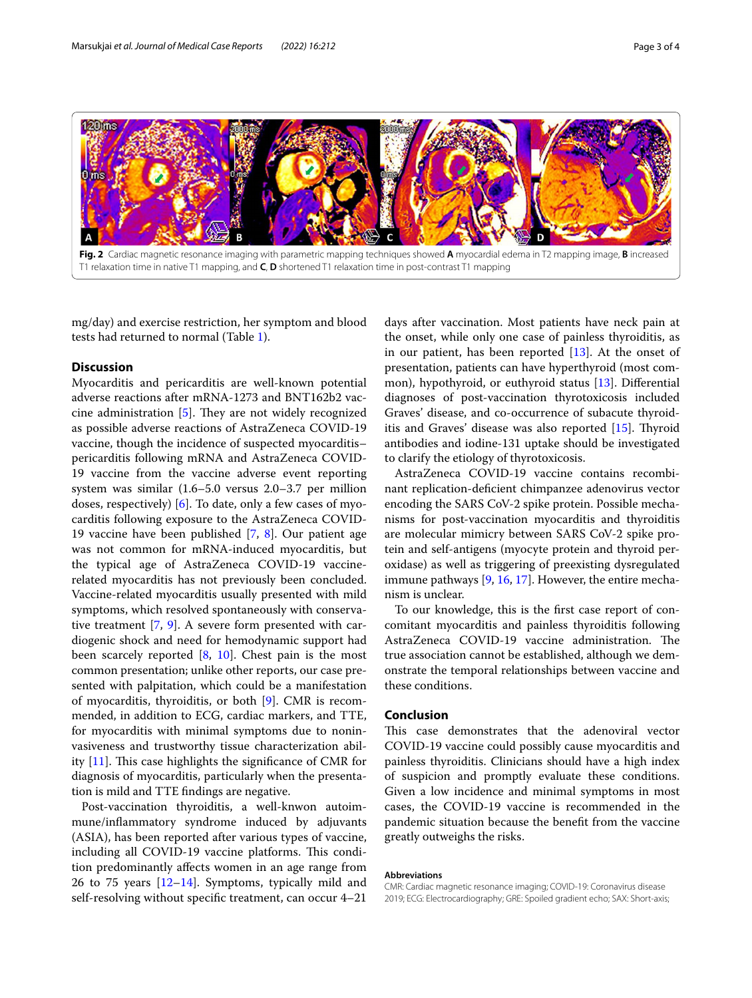

<span id="page-2-0"></span>mg/day) and exercise restriction, her symptom and blood tests had returned to normal (Table [1\)](#page-1-0).

#### **Discussion**

Myocarditis and pericarditis are well-known potential adverse reactions after mRNA-1273 and BNT162b2 vaccine administration  $[5]$  $[5]$ . They are not widely recognized as possible adverse reactions of AstraZeneca COVID-19 vaccine, though the incidence of suspected myocarditis– pericarditis following mRNA and AstraZeneca COVID-19 vaccine from the vaccine adverse event reporting system was similar (1.6–5.0 versus 2.0–3.7 per million doses, respectively) [[6\]](#page-3-6). To date, only a few cases of myocarditis following exposure to the AstraZeneca COVID-19 vaccine have been published [\[7](#page-3-7), [8](#page-3-8)]. Our patient age was not common for mRNA-induced myocarditis, but the typical age of AstraZeneca COVID-19 vaccinerelated myocarditis has not previously been concluded. Vaccine-related myocarditis usually presented with mild symptoms, which resolved spontaneously with conservative treatment [[7,](#page-3-7) [9](#page-3-9)]. A severe form presented with cardiogenic shock and need for hemodynamic support had been scarcely reported [[8,](#page-3-8) [10\]](#page-3-10). Chest pain is the most common presentation; unlike other reports, our case presented with palpitation, which could be a manifestation of myocarditis, thyroiditis, or both [[9](#page-3-9)]. CMR is recommended, in addition to ECG, cardiac markers, and TTE, for myocarditis with minimal symptoms due to noninvasiveness and trustworthy tissue characterization ability  $[11]$  $[11]$ . This case highlights the significance of CMR for diagnosis of myocarditis, particularly when the presentation is mild and TTE fndings are negative.

Post-vaccination thyroiditis, a well-knwon autoimmune/infammatory syndrome induced by adjuvants (ASIA), has been reported after various types of vaccine, including all COVID-19 vaccine platforms. This condition predominantly afects women in an age range from 26 to 75 years [\[12](#page-3-12)–[14\]](#page-3-13). Symptoms, typically mild and self-resolving without specifc treatment, can occur 4–21

days after vaccination. Most patients have neck pain at the onset, while only one case of painless thyroiditis, as in our patient, has been reported  $[13]$  $[13]$ . At the onset of presentation, patients can have hyperthyroid (most common), hypothyroid, or euthyroid status [[13](#page-3-14)]. Diferential diagnoses of post-vaccination thyrotoxicosis included Graves' disease, and co-occurrence of subacute thyroiditis and Graves' disease was also reported  $[15]$  $[15]$  $[15]$ . Thyroid antibodies and iodine-131 uptake should be investigated to clarify the etiology of thyrotoxicosis.

AstraZeneca COVID-19 vaccine contains recombinant replication-defcient chimpanzee adenovirus vector encoding the SARS CoV-2 spike protein. Possible mechanisms for post-vaccination myocarditis and thyroiditis are molecular mimicry between SARS CoV-2 spike protein and self-antigens (myocyte protein and thyroid peroxidase) as well as triggering of preexisting dysregulated immune pathways [[9](#page-3-9), [16,](#page-3-16) [17](#page-3-17)]. However, the entire mechanism is unclear.

To our knowledge, this is the frst case report of concomitant myocarditis and painless thyroiditis following AstraZeneca COVID-19 vaccine administration. The true association cannot be established, although we demonstrate the temporal relationships between vaccine and these conditions.

#### **Conclusion**

This case demonstrates that the adenoviral vector COVID-19 vaccine could possibly cause myocarditis and painless thyroiditis. Clinicians should have a high index of suspicion and promptly evaluate these conditions. Given a low incidence and minimal symptoms in most cases, the COVID-19 vaccine is recommended in the pandemic situation because the beneft from the vaccine greatly outweighs the risks.

#### **Abbreviations**

CMR: Cardiac magnetic resonance imaging; COVID-19: Coronavirus disease 2019; ECG: Electrocardiography; GRE: Spoiled gradient echo; SAX: Short-axis;